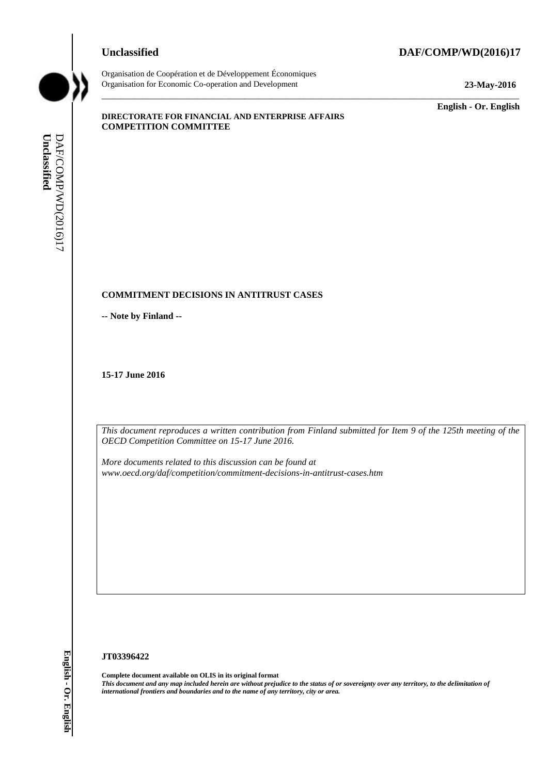#### **Unclassified DAF/COMP/WD(2016)17**



Organisation de Coopération et de Développement Économiques Organisation for Economic Co-operation and Development **23-May-2016**

\_\_\_\_\_\_\_\_\_\_\_\_\_ **English - Or. English**

#### **DIRECTORATE FOR FINANCIAL AND ENTERPRISE AFFAIRS COMPETITION COMMITTEE**

#### **COMMITMENT DECISIONS IN ANTITRUST CASES**

**-- Note by Finland --**

**15-17 June 2016**

*This document reproduces a written contribution from Finland submitted for Item 9 of the 125th meeting of the OECD Competition Committee on 15-17 June 2016.* 

\_\_\_\_\_\_\_\_\_\_\_\_\_\_\_\_\_\_\_\_\_\_\_\_\_\_\_\_\_\_\_\_\_\_\_\_\_\_\_\_\_\_\_\_\_\_\_\_\_\_\_\_\_\_\_\_\_\_\_\_\_\_\_\_\_\_\_\_\_\_\_\_\_\_\_\_\_\_\_\_\_\_\_\_\_\_\_\_\_\_\_

*More documents related to this discussion can be found at www.oecd.org/daf/competition/commitment-decisions-in-antitrust-cases.htm*

#### **JT03396422**

**Complete document available on OLIS in its original format** *This document and any map included herein are without prejudice to the status of or sovereignty over any territory, to the delimitation of* **iii** comparisonal frontiers and boundaries and boundaries and boundaries and boundaries and **English - Note to the name of any territory** constrained DECD Competition Committee on 15-17 June 2016.<br>
This deconvent reput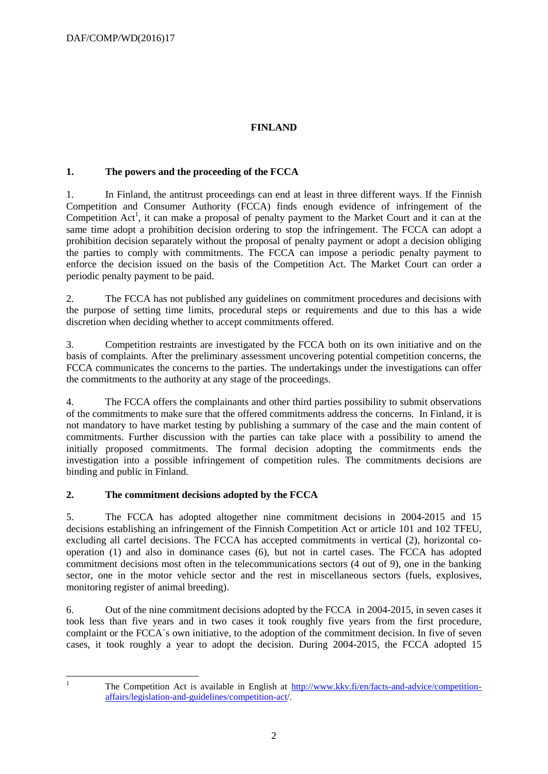# **FINLAND**

# **1. The powers and the proceeding of the FCCA**

1. In Finland, the antitrust proceedings can end at least in three different ways. If the Finnish Competition and Consumer Authority (FCCA) finds enough evidence of infringement of the Competition Act<sup>1</sup>, it can make a proposal of penalty payment to the Market Court and it can at the same time adopt a prohibition decision ordering to stop the infringement. The FCCA can adopt a prohibition decision separately without the proposal of penalty payment or adopt a decision obliging the parties to comply with commitments. The FCCA can impose a periodic penalty payment to enforce the decision issued on the basis of the Competition Act. The Market Court can order a periodic penalty payment to be paid.

2. The FCCA has not published any guidelines on commitment procedures and decisions with the purpose of setting time limits, procedural steps or requirements and due to this has a wide discretion when deciding whether to accept commitments offered.

3. Competition restraints are investigated by the FCCA both on its own initiative and on the basis of complaints. After the preliminary assessment uncovering potential competition concerns, the FCCA communicates the concerns to the parties. The undertakings under the investigations can offer the commitments to the authority at any stage of the proceedings.

4. The FCCA offers the complainants and other third parties possibility to submit observations of the commitments to make sure that the offered commitments address the concerns. In Finland, it is not mandatory to have market testing by publishing a summary of the case and the main content of commitments. Further discussion with the parties can take place with a possibility to amend the initially proposed commitments. The formal decision adopting the commitments ends the investigation into a possible infringement of competition rules. The commitments decisions are binding and public in Finland.

## **2. The commitment decisions adopted by the FCCA**

5. The FCCA has adopted altogether nine commitment decisions in 2004-2015 and 15 decisions establishing an infringement of the Finnish Competition Act or article 101 and 102 TFEU, excluding all cartel decisions. The FCCA has accepted commitments in vertical (2), horizontal cooperation (1) and also in dominance cases (6), but not in cartel cases. The FCCA has adopted commitment decisions most often in the telecommunications sectors (4 out of 9), one in the banking sector, one in the motor vehicle sector and the rest in miscellaneous sectors (fuels, explosives, monitoring register of animal breeding).

6. Out of the nine commitment decisions adopted by the FCCA in 2004-2015, in seven cases it took less than five years and in two cases it took roughly five years from the first procedure, complaint or the FCCA´s own initiative, to the adoption of the commitment decision. In five of seven cases, it took roughly a year to adopt the decision. During 2004-2015, the FCCA adopted 15

 $\mathbf{I}$ 

<sup>1</sup> The Competition Act is available in English at [http://www.kkv.fi/en/facts-and-advice/competition](http://www.kkv.fi/en/facts-and-advice/competition-affairs/legislation-and-guidelines/competition-act)[affairs/legislation-and-guidelines/competition-act/](http://www.kkv.fi/en/facts-and-advice/competition-affairs/legislation-and-guidelines/competition-act).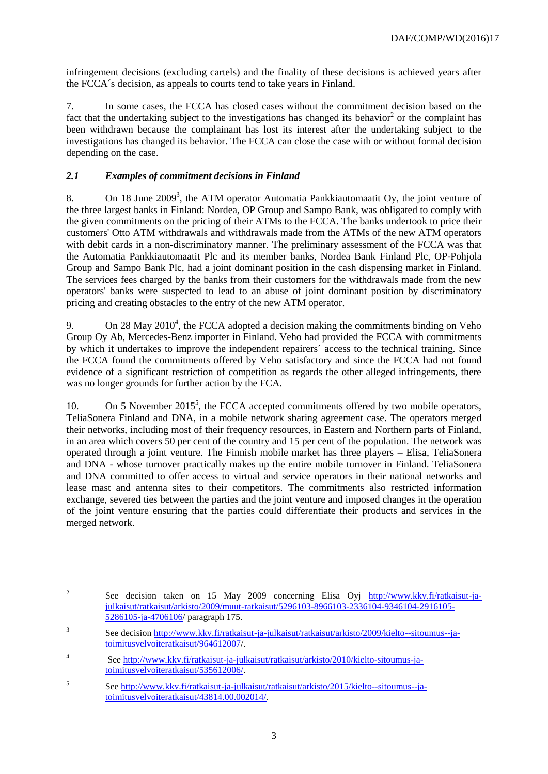infringement decisions (excluding cartels) and the finality of these decisions is achieved years after the FCCA´s decision, as appeals to courts tend to take years in Finland.

7. In some cases, the FCCA has closed cases without the commitment decision based on the fact that the undertaking subject to the investigations has changed its behavior<sup>2</sup> or the complaint has been withdrawn because the complainant has lost its interest after the undertaking subject to the investigations has changed its behavior. The FCCA can close the case with or without formal decision depending on the case.

# *2.1 Examples of commitment decisions in Finland*

8. On 18 June 2009<sup>3</sup>, the ATM operator Automatia Pankkiautomaatit Oy, the joint venture of the three largest banks in Finland: Nordea, OP Group and Sampo Bank, was obligated to comply with the given commitments on the pricing of their ATMs to the FCCA. The banks undertook to price their customers' Otto ATM withdrawals and withdrawals made from the ATMs of the new ATM operators with debit cards in a non-discriminatory manner. The preliminary assessment of the FCCA was that the Automatia Pankkiautomaatit Plc and its member banks, Nordea Bank Finland Plc, OP-Pohjola Group and Sampo Bank Plc, had a joint dominant position in the cash dispensing market in Finland. The services fees charged by the banks from their customers for the withdrawals made from the new operators' banks were suspected to lead to an abuse of joint dominant position by discriminatory pricing and creating obstacles to the entry of the new ATM operator.

9. On 28 May  $2010<sup>4</sup>$ , the FCCA adopted a decision making the commitments binding on Veho Group Oy Ab, Mercedes-Benz importer in Finland. Veho had provided the FCCA with commitments by which it undertakes to improve the independent repairers´ access to the technical training. Since the FCCA found the commitments offered by Veho satisfactory and since the FCCA had not found evidence of a significant restriction of competition as regards the other alleged infringements, there was no longer grounds for further action by the FCA.

10. On 5 November 2015<sup>5</sup>, the FCCA accepted commitments offered by two mobile operators, TeliaSonera Finland and DNA, in a mobile network sharing agreement case. The operators merged their networks, including most of their frequency resources, in Eastern and Northern parts of Finland, in an area which covers 50 per cent of the country and 15 per cent of the population. The network was operated through a joint venture. The Finnish mobile market has three players – Elisa, TeliaSonera and DNA - whose turnover practically makes up the entire mobile turnover in Finland. TeliaSonera and DNA committed to offer access to virtual and service operators in their national networks and lease mast and antenna sites to their competitors. The commitments also restricted information exchange, severed ties between the parties and the joint venture and imposed changes in the operation of the joint venture ensuring that the parties could differentiate their products and services in the merged network.

 $\frac{1}{2}$ See decision taken on 15 May 2009 concerning Elisa Oyj [http://www.kkv.fi/ratkaisut-ja](http://www.kkv.fi/ratkaisut-ja-julkaisut/ratkaisut/arkisto/2009/muut-ratkaisut/5296103-8966103-2336104-9346104-2916105-5286105-ja-4706106)[julkaisut/ratkaisut/arkisto/2009/muut-ratkaisut/5296103-8966103-2336104-9346104-2916105-](http://www.kkv.fi/ratkaisut-ja-julkaisut/ratkaisut/arkisto/2009/muut-ratkaisut/5296103-8966103-2336104-9346104-2916105-5286105-ja-4706106) [5286105-ja-4706106/](http://www.kkv.fi/ratkaisut-ja-julkaisut/ratkaisut/arkisto/2009/muut-ratkaisut/5296103-8966103-2336104-9346104-2916105-5286105-ja-4706106) paragraph 175.

<sup>3</sup> See decision [http://www.kkv.fi/ratkaisut-ja-julkaisut/ratkaisut/arkisto/2009/kielto--sitoumus--ja](http://www.kkv.fi/ratkaisut-ja-julkaisut/ratkaisut/arkisto/2009/kielto--sitoumus--ja-toimitusvelvoiteratkaisut/964612007)[toimitusvelvoiteratkaisut/964612007/](http://www.kkv.fi/ratkaisut-ja-julkaisut/ratkaisut/arkisto/2009/kielto--sitoumus--ja-toimitusvelvoiteratkaisut/964612007).

<sup>4</sup> See [http://www.kkv.fi/ratkaisut-ja-julkaisut/ratkaisut/arkisto/2010/kielto-sitoumus-ja](http://www.kkv.fi/ratkaisut-ja-julkaisut/ratkaisut/arkisto/2010/kielto-sitoumus-ja-toimitusvelvoiteratkaisut/535612006/)[toimitusvelvoiteratkaisut/535612006/.](http://www.kkv.fi/ratkaisut-ja-julkaisut/ratkaisut/arkisto/2010/kielto-sitoumus-ja-toimitusvelvoiteratkaisut/535612006/)

<sup>5</sup> See [http://www.kkv.fi/ratkaisut-ja-julkaisut/ratkaisut/arkisto/2015/kielto--sitoumus--ja](http://www.kkv.fi/ratkaisut-ja-julkaisut/ratkaisut/arkisto/2015/kielto--sitoumus--ja-toimitusvelvoiteratkaisut/43814.00.002014/)[toimitusvelvoiteratkaisut/43814.00.002014/.](http://www.kkv.fi/ratkaisut-ja-julkaisut/ratkaisut/arkisto/2015/kielto--sitoumus--ja-toimitusvelvoiteratkaisut/43814.00.002014/)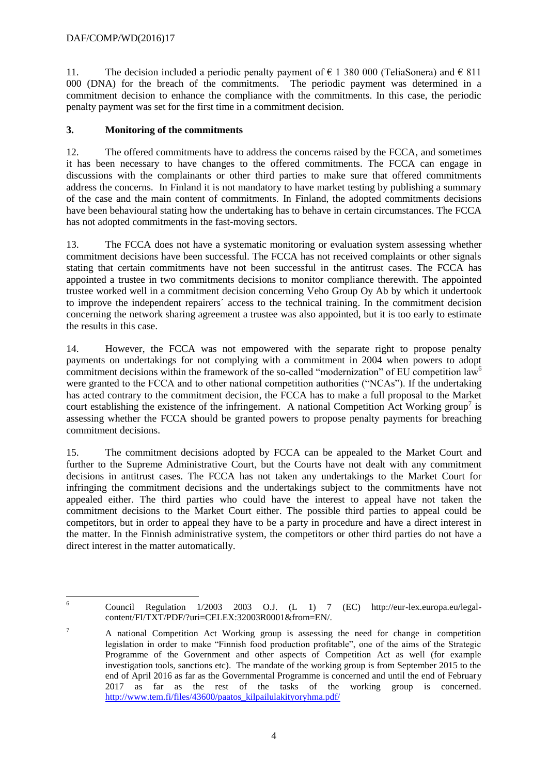11. The decision included a periodic penalty payment of  $\epsilon$  1 380 000 (TeliaSonera) and  $\epsilon$  811 000 (DNA) for the breach of the commitments. The periodic payment was determined in a commitment decision to enhance the compliance with the commitments. In this case, the periodic penalty payment was set for the first time in a commitment decision.

## **3. Monitoring of the commitments**

12. The offered commitments have to address the concerns raised by the FCCA, and sometimes it has been necessary to have changes to the offered commitments. The FCCA can engage in discussions with the complainants or other third parties to make sure that offered commitments address the concerns. In Finland it is not mandatory to have market testing by publishing a summary of the case and the main content of commitments. In Finland, the adopted commitments decisions have been behavioural stating how the undertaking has to behave in certain circumstances. The FCCA has not adopted commitments in the fast-moving sectors.

13. The FCCA does not have a systematic monitoring or evaluation system assessing whether commitment decisions have been successful. The FCCA has not received complaints or other signals stating that certain commitments have not been successful in the antitrust cases. The FCCA has appointed a trustee in two commitments decisions to monitor compliance therewith. The appointed trustee worked well in a commitment decision concerning Veho Group Oy Ab by which it undertook to improve the independent repairers´ access to the technical training. In the commitment decision concerning the network sharing agreement a trustee was also appointed, but it is too early to estimate the results in this case.

14. However, the FCCA was not empowered with the separate right to propose penalty payments on undertakings for not complying with a commitment in 2004 when powers to adopt commitment decisions within the framework of the so-called "modernization" of EU competition law<sup>6</sup> were granted to the FCCA and to other national competition authorities ("NCAs"). If the undertaking has acted contrary to the commitment decision, the FCCA has to make a full proposal to the Market court establishing the existence of the infringement. A national Competition Act Working group<sup>7</sup> is assessing whether the FCCA should be granted powers to propose penalty payments for breaching commitment decisions.

15. The commitment decisions adopted by FCCA can be appealed to the Market Court and further to the Supreme Administrative Court, but the Courts have not dealt with any commitment decisions in antitrust cases. The FCCA has not taken any undertakings to the Market Court for infringing the commitment decisions and the undertakings subject to the commitments have not appealed either. The third parties who could have the interest to appeal have not taken the commitment decisions to the Market Court either. The possible third parties to appeal could be competitors, but in order to appeal they have to be a party in procedure and have a direct interest in the matter. In the Finnish administrative system, the competitors or other third parties do not have a direct interest in the matter automatically.

 $6\overline{6}$ <sup>6</sup> Council Regulation 1/2003 2003 O.J. (L 1) 7 (EC) http://eur-lex.europa.eu/legalcontent/FI/TXT/PDF/?uri=CELEX:32003R0001&from=EN/.

<sup>7</sup> A national Competition Act Working group is assessing the need for change in competition legislation in order to make "Finnish food production profitable", one of the aims of the Strategic Programme of the Government and other aspects of Competition Act as well (for example investigation tools, sanctions etc). The mandate of the working group is from September 2015 to the end of April 2016 as far as the Governmental Programme is concerned and until the end of February 2017 as far as the rest of the tasks of the working group is concerned. [http://www.tem.fi/files/43600/paatos\\_kilpailulakityoryhma.pdf/](http://www.tem.fi/files/43600/paatos_kilpailulakityoryhma.pdf/)